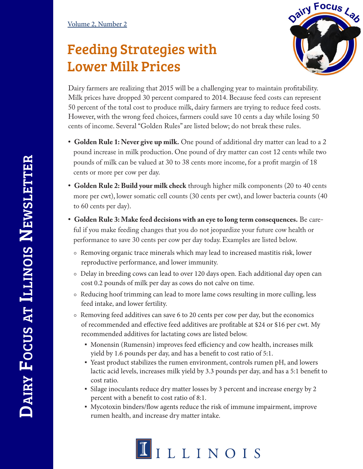## Feeding Strategies with Lower Milk Prices



Dairy farmers are realizing that 2015 will be a challenging year to maintain profitability. Milk prices have dropped 30 percent compared to 2014. Because feed costs can represent 50 percent of the total cost to produce milk, dairy farmers are trying to reduce feed costs. However, with the wrong feed choices, farmers could save 10 cents a day while losing 50 cents of income. Several "Golden Rules" are listed below; do not break these rules.

- **• Golden Rule 1: Never give up milk.** One pound of additional dry matter can lead to a 2 pound increase in milk production. One pound of dry matter can cost 12 cents while two pounds of milk can be valued at 30 to 38 cents more income, for a profit margin of 18 cents or more per cow per day.
- **• Golden Rule 2: Build your milk check** through higher milk components (20 to 40 cents more per cwt), lower somatic cell counts (30 cents per cwt), and lower bacteria counts (40 to 60 cents per day).
- **• Golden Rule 3: Make feed decisions with an eye to long term consequences.** Be careful if you make feeding changes that you do not jeopardize your future cow health or performance to save 30 cents per cow per day today. Examples are listed below.
	- ⚬ Removing organic trace minerals which may lead to increased mastitis risk, lower reproductive performance, and lower immunity.
	- ⚬ Delay in breeding cows can lead to over 120 days open. Each additional day open can cost 0.2 pounds of milk per day as cows do not calve on time.
	- ⚬ Reducing hoof trimming can lead to more lame cows resulting in more culling, less feed intake, and lower fertility.
	- ⚬ Removing feed additives can save 6 to 20 cents per cow per day, but the economics of recommended and effective feed additives are profitable at \$24 or \$16 per cwt. My recommended additives for lactating cows are listed below.
		- Monensin (Rumensin) improves feed efficiency and cow health, increases milk yield by 1.6 pounds per day, and has a benefit to cost ratio of 5:1.
		- ཚ Yeast product stabilizes the rumen environment, controls rumen pH, and lowers lactic acid levels, increases milk yield by 3.3 pounds per day, and has a 5:1 benefit to cost ratio.
		- Silage inoculants reduce dry matter losses by 3 percent and increase energy by 2 percent with a benefit to cost ratio of 8:1.
		- ཚ Mycotoxin binders/flow agents reduce the risk of immune impairment, improve rumen health, and increase dry matter intake.